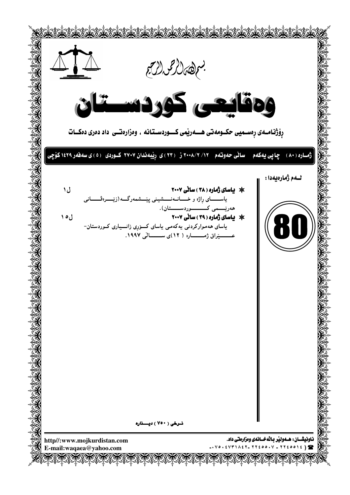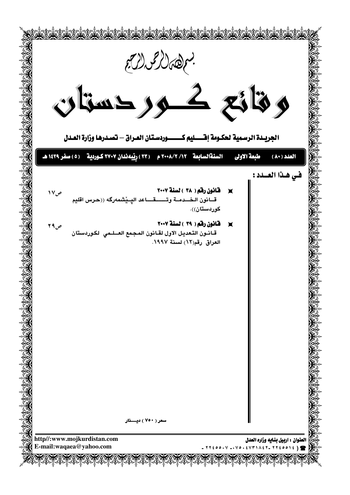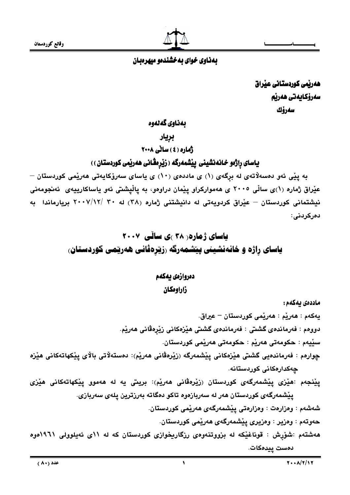وقائع كوردستان



# بهناوی خوای به خشندهو میهرهبان

ھەربّمى كوردستانى عيّراق سەرۆكايەتى ھەرپە سەرۆك

بەناوى گەنەوە

بريار

ژماره (٤) ساٽي ٢٠٠٨

یاسای راژەو خانەنشینی پیشمەرگە ( زیرەڤانی ھەریمی کوردستان ))

به يێی ئەو دەسەلاتەی لە برگەی (۱) ی ماددەی (۱۰) ی ياسای سەرۆکايەتی ھەرپمی کوردستان – عێراق ژماره (۱)ی ساڵی ۲۰۰۵ ی هەموارکراو پێمان دراوەو، به پاڵیشتی ئەو یاساکارییەی ئەنجومەنی نیشتمانی کوردستان – عیّراق کردویهتی له دانیشتنی ژماره (۳۸) له ۳۰ /۰۰۷/۱۲ بریارماندا به دهر کردنے :

# **یاسای ژماره ( ۳۸ )ی سائی ۲۰۰۷** یاسای راژه و خانەنشینی پیشمەرگە رزیرەڤانی هەریمی کوردستان،

# دمروازمى بهكهم زاراوهكان

ماددەى يەكەم : يەكەم : ھەرپم : ھەرپمى كوردستان – عيراق. دووهم : فەرماندەي گشتى : فەرماندەي گشتى ھێزەكانى زێرەڤانى ھەرێم. سٽِيهم : حکومهتي ههريم : حکومهتي ههريمي کوردستان. چوارەم : فەرماندەيى گشتى ھێزەكانى يێشمەرگە (زێرەڤانى ھەرێم): دەستەلاتى بالاي يێكھاتەكانى ھێزە چەكدارەكانى كوردستانە. يێنجەم :هێزی يێشمەرگەی کوردستان (زێرەڤانی ھەرێم): بریتی په له ھەموو يێکھاتەکانی ھێزی يێشمەرگەي كوردستان ھەر لە سەربازەوە تاكو دەگاتە بەرزترين يلەي سەربازى. شەشەم : وەزارەت : وەزارەتى يېشمەرگەي ھەرىمى كوردستان. حەوتەم : وەزير : وەزيرى يێشمەرگەي ھەرێمى كوردستان. ههشتهم :شۆرش : قوناغێکه له بزووتنهوهی رزگاریخوازی کوردستان که له ۱۱ی ئهیلوولی ۱۹۲۱موه

دەست پيدەكات.

 $\lambda$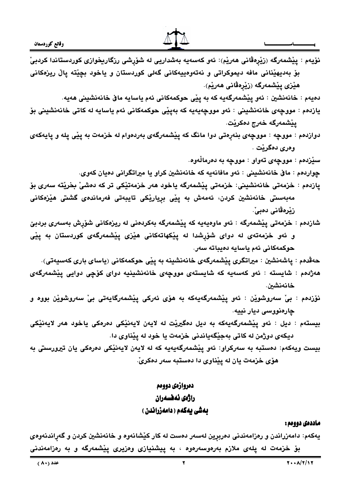ماددەى دوومم : يهکهم: دامهزراندن و رهزامهندنی دهربړین لهسهر دهست له کار کێشانهوه و خانهنشین کردن و گهړاندنهوهی بۆ خزمەت لە پلەى ملازم بەرەوسەرەوە ، بە پيشنيازى وەزيرى پێشمەرگە و بە رەزامەندنى

# بەشى يەكەم ( دامەزراندن )

# راژ*ەي ئە*ڧسەران

# دمروازمى دوومم

هۆی خزمەت يان لە يێناوی دا دەستبە سەر دەكرىّ.

ديكەي دوژمن لە كاتى بەجێگەياندنى خزمەت يا خود لە يێناوى دا. بيست ويهكهم: دەستبه به سەركراو: ئەو يێشمەرگەيەيە كە لە لايەن لايەنیْكى دەرەكى يان تیرورستى بە

- چارەنووسى ديار نييه. بيستهم : ديل : ئەو يێشمەرگەيەكە بە ديل دەگيرێت لە لايەن لايەنيكى دەرەكى ياخود ھەر لايەنێكى
- خانەنشىن. نۆزدەم : بىٰ سەروشوێن : ئەو يێشمەرگەيەكە بە ھۆى ئەركى يێشمەرگايەتى بىٰ سەروشوێن بووە و
- حەقدەم : ياشەنشين : ميراتگرى يێشمەرگەي خانەنشينە بە يێى حوكمەكانى (ياساي بارى كەسپەتى). هەژدەم : شايستە : ئەو كەسەيە كە شايستەى مووچەى خانەنشينيە دواى كۆچى دوايى پێشمەرگەى
- و ئەو خزمەتەى لە دواى شۆرشدا لە يێكھاتەكانى ھێزى يێشمەرگەى كوردستان بە يێى حوكمەكانى ئەم ياسايە دەيباتە سەر.
- مەبەسىتى خانەنشين كردن، ئەمەش بە يێى بريارێكى تايبەتى فەرماندەى گشتى ھێزەكانى زٽرەقانى دەبى ّ. شازدهم : خزمەتى پێشمەرگە : ئەو ماوەيەيە كە پێشمەرگە بەكردەنى لە ريزەكانى شۆپش بەسەرى بردبێ
- سێڒدهم : مووچهی تهواو : مووچه به دهرمالْهوه. چواردهم : مافي خانهنشيني : ئەو مافانەيە كە خانەنشين كراو يا ميراتگرانى دەيان كەوي.

پازدەم : خزمەتى خانەنشينى: خزمەتى پێشمەرگە ياخود ھەر خزمەتێكى تر كە دەشىٚ بخرێتە سەرى بۆ

- يێشمەرگە خەرج دەكرێت. دوازدهم : مووچه : مووچهی بنهڕهتی دوا مانگ که پێشمهرگهی بهردهوام له خزمهت به پێی پله و پایهکهی وهري دهگرنت .
- يازدهم : مووچەی خانەنشینی : ئەو مووچەيەيە كە بەپێی حوكمەكانی ئەم ياسايە لە كاتی خانەنشينی بۆ
- هێزی یێشمەرگە (زێرەڤانی ھەرێم). دهيهم : خانەنشين : ئەو يێشمەرگەيە كە بە يێى حوكمەكانى ئەم ياسايە ماڧ خانەنشينى ھەيە.
- نۆيەم : يێشمەرگە (زێرەڤانى ھەرێم): ئەو كەسەپە بەشداريى لە شۆرشى رزگاريخوازى كوردستاندا كردبىْ بۆ بەديهێنانى مافە ديموكراتى و نەتەوەييەكانى گەلى كوردستان و ياخود بچێتە پاڵ ريزەكانى

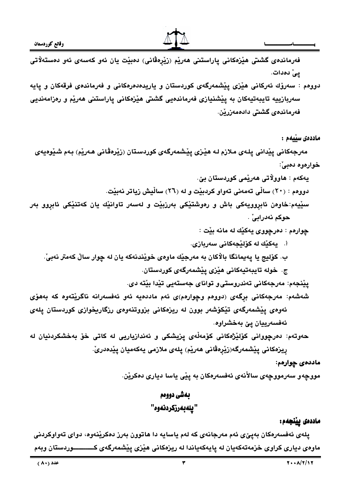

فەرماندەى گشتى ھێزەكانى پاراستنى ھەرێم (زێڕەڤانى) دەبێت يان ئەو كەسەى ئەو دەستەلاتى يئ دەدات.

دووهم : سەرۆك ئەركانى ھێزى يێشمەرگەى كوردستان و ياريدەدەرەكانى و فەرماندەى فرقەكان و يايە سەربازييە تايبەتيەكان بە يێشنيازى فەرماندەيى گشتى ھێزەكانى ياراستنى ھەرێم و رەزامەنديى فەرماندەي گشتى دادەمەزرێن.

#### ماددەى سىلمم :

مەرجەكانى يێدانى يلەي ملازم لـه ھێزى يێشمەرگەي كوردستان (زێرەڤانى ھـەرێم) بـەم شێوەيەي خوارهوه دهييٌ:

يەكەم : ھاوولاتى ھەرپمى كوردستان بيّ.

دووهم : (٢٠) سالِّي تهمهني تهواو كردبيِّت و له (٢٦) سالِّيش زياتر نهبيّت.

سێيهم:خاوەن ئابروويەكى باش و رەوشتێكى بەرزبێت و لەسەر تاوانێك يان كەتنێكى ئابروو بەر حوكم نەدرابى' .

چوارهم : دەرچووى يەكێك له مانه بێت :

- أ. يەكێك لە كۆلێجەكانى سەربازى.
- ب. کۆليج يا پەيمانگا بالاْکان بە مەرجێك ماوەي خوێندنەکە يان لە چوار سالْ كەمتر نەبيْ.
	- ج. خوله تايبەتيەكانى ھێزى يێشمەرگەى كوردستان.

يێنجەم: مەرجەكانى تەندروستى و تواناي جەستەيى تێدا بێتە دى.

شەشەم: مەرجەكانى برگەي (دووەم وچوارەم)ى ئەم ماددەيە ئەو ئەفسەرانە ناگريتەوە كە بەھۆى ئەوەي ييشمەرگەي تيكۆشەر بوون لە ريزەكانى بزووتنەوەي رزگاريخوازى كوردستان يلەي ئەفسەرييان يێ بەخشراوە.

حەوتەم: دەرچووانى كۆلێژەكانى كۆمەڵەي يزيشكى و ئەندازياريى لە كاتى خۆ بەخشكردنيان لە ريزەكانى يێشمەرگە(زێرەڤانى ھەرێم) يلەي ملازمى يەكەميان يێدەدرێَ.

ماددەى چوارەم:

مووچەو سەرمووچەي سالأنەي ئەفسەرەكان بە يێى ياسا ديارى دەكرێن.

# بەشى دووەم "يلەبەرزكردنەوە"

#### ماددەى يېنجەم:

پلەى ئەفسەرەكان بەپێى ئەم مەرجانەى كە لەم ياسايە دا ھاتوون بەرز دەكرێنەوە، دواى تەواوكردنى ماوەی دياری کراوی خزمەتەکەيان لە پايەکەياندا لە ريزەکانى ھێزی يێشمەرگەی کــــــــــوردستان وبەم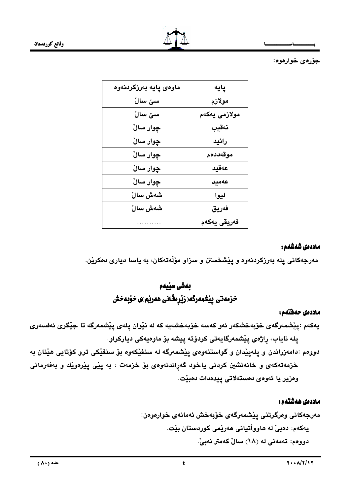

وقائع كوردستان

جۆرەي خوارەوە:

| ماوەي پايە بەرزكردنەوە | پایه          |
|------------------------|---------------|
| سێ ساڵ                 | مولازم        |
| سێ سالٚ                | مولازمى يەكەم |
| چوار سالٌ              | نەقيب         |
| چوار سالٌ              | رائيد         |
| چوار سالٌ              | موقەددەم      |
| چوار سالٌ              | عەقيد         |
| چوار سالٌ              | عەميد         |
| شەش سالٚ               | ليوا          |
| شەش سالٚ               | فەريق         |
| .                      | فەريقى يەكەم  |

### ماددەى شەشەم :

مەرجەكانى يلە بەرزكردنەوە و يێشخستن و سزاو مۆڵەتەكان، بە ياسا ديارى دەكرێن.

# بەشى سێيەم خزمەتى پيشمەرگە( زێرەڨانى ھەرپم )ى خۆبەخش

#### ماددەى حەھتەم :

يەكەم :يێشمەرگەي خۆبەخشكەر ئەو كەسە خۆبەخشەيە كە لە نێوان يلەي يێشمەرگە تا جێگرى ئەڧسەرى يلە ناياب، راژەي يێشمەرگايەتى كردۆتە ييشە بۆ ماوەيەكى دياركراو.

دوومم :دامەزراندن و يلەيێدان و گواستنەومى يێشمەرگە لە سنفێكەوم بۆ سنفێکى ترو كۆتايى ھێنان بە خزمهتهکهی و خانهنشین کردنی یاخود گەراندنهوەی بۆ خزمهت ، به پێی پێرەوێك و بەفەرمانی وەزير يا ئەوەي دەستەلاتى يېدەدات دەبيت.

# ماددەى ھەشتەم :

مەرجەكانى وەرگرتنى يێشمەرگەي خۆبەخش ئەمانەي خوارەوەن: يەكەم: دەبىّ لە ھاوواْتيانى ھەريّمى كوردستان بيّت. دووهم: تهمهنی له (۱۸) سالٌ کهمتر نهبیٌ.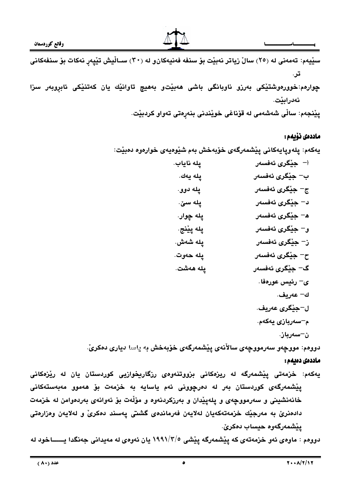

چوارهم:خوورەوشتیکی بەرزو ناوبانگی باشی ھەبیت و بەھیچ تاوانیّك یان كەتنیكی ئابروبەر سزا نەدراينت.

پِيْنجەم: ساڵی شەشەمی لە قۆناغی خويْندنی بنەڕەتی تەواو كردبيْت.

#### ماددەى نۆبەم :

يەكەم: يلەويايەكانى يێشمەرگەي خۆبەخش بەم شێوەيەي خوارەوە دەبێت:

$$
-
$$
 چيٰگري ئەنسەر  
\nپ 4- يېگري ئەنسەر  
\nپ 4- يېگىرى ئەنسەر  
\nي 4- يېڭەرى  
\n- چيٽگري ئەنسەر  
\nچ 4- يېگىرى ئەنسەر  
\nچ 4- يېگىرى ئەنسەر  
\nچ 4- يېگىرى ئەنسەر  
\nچ 4- يېگىرى ئەنسەر  
\2- جيٽگرى ئەنسەر  
\ي 2- جيٽگرى ئەنسەر  
\2- جيٽگرى ئەنسەر  
\2- مەريف.  
2- مەريف.  
1- جيٽگرى عەريف.  
\1- جيٽگري عەريف.  
\1- مەريف.  
4-سەربازى يەكەم.

دووهم: مووچەو سەرمووچەي سالأنەي يێشمەرگەي خۆبەخش بە ياسا ديارى دەكرىّ.

#### ماددەى دەيمە :

یهکهم: خزمهتی ییشمهرگه له ریزهکانی بزووتنهوهی رزگاریخوازیی کوردستان یان له ریزهکانی پێۣشمەرگەی کوردستان بەر لە دەرچوونى ئەم ياسايە بە خزمەت بۆ ھەموو مەبەستەكانى خانهنشينی و سەرمووچەی و پلەپێدان و بەرزكردنەوه و مۆلّەت بۆ ئەوانەی بەردەوامن لە خزمەت دادەنرێ بە مەرجێك خزمەتەكەيان لەلايەن فەرماندەي گشتى يەسند دەكرىٚ و لەلايەن وەزارەتى يێشمەرگەوە حيساب دەكرىٰ.

دووهم : ماوهي ئهو خزمهتهي كه ييشمهرگه ييشي ١٩٩١/٣/٥ يان ئهوهي له مهيداني جهنگدا يــــــاخود له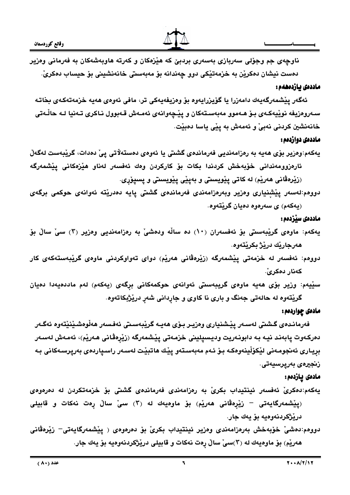



ناوچەي جم وجۆلى سەربازى بەسەرى بردېێ كە ھێزەكان و كەرتە ھاوبەشەكان بە فەرمانى وەزير دەست نيشان دەكريْن بە خزمەتيْكى دوو چەندانە بۆ مەبەستى خانەنشينى بۆ حيساب دەكرىّ.

#### ماددەى ئازدەھەم:

ئەگەر يێشمەرگەيەك دامەزرا يا گۆيزرايەوە بۆ وەزيفەيەكى تر، مافى ئەوەى ھەيە خزمەتەكەى بخاتـە سـەروەزيفە نوێيەكـەى بـۆ ھـەموو مەبەسـتەكان و پێچەوانەى ئەمـەش قـەبوول نـاكرى تـەنيا لـە حاڵـەتى خانەنشين كردنى نەبىّ و ئەمەش بە يێى ياسا دەبێت.

# ماددهی دوازدهم :

يەكەم:وەزير بۆي ھەيە بە رەزامەنديى فەرماندەي گشتى يا ئەوەي دەستەلاتى يىْ دەدات، گريبەست لەگەلْ ئارەزوومەندانى خۆبەخش كردندا بكات بۆ كاركردن وەك ئەفسەر لەناو ھێزەكانى يێشمەرگە (زێرەڤانى ھەرێم) لە كاتى يێويستى و بەيێى يێويستى و يسيۆرى.

دووهم:لەسەر يێشنيارى وەزير وبەرەزامەندى فەرماندەى گشتى يايە دەدرێتە ئەوانەى حوكمى برگەى (پهکهم) ی سهرهوه دهيان گريٽهوه.

# ماددهی سنزدهم :

- یهکهم: ماوهی گریْبهستی بوّ ئهفسهران (۱۰) ده سالْه ودهشیّ به رهزامهندیی وهزیر (۳) سیّ سالّ بوّ هەرجاريْك دريْژْ بِكريْتەوە.
- دووم، ئەفسەر لە خزمەتى يێشمەرگە (زێرەڤانى ھەرێم) دواي تەواوكردنى ماوەي گرێبەستەكەي كار كەنار دەكرىّ.
- سێيەم: وزير بۆی ھەيە ماوەی گريبەستى ئەوانەی حوكمەكانى برگەی (يەكەم) لەم ماددەيەدا دەيان گريٽهوه له حالهتي جهنگ و باري نا کاوي و جارداني شهر دريژبکاتهوه.

# مادهي چواردهم :

فەرمانـدەي گـشتى لەسـەر يێـشنياري وەزيـر بـۆي ھەيـە گرێبەسـتى ئەفـسەر ھەڵوەشـێنێتەوە ئەگـەر دەركەوت يابەند نيە بە دابونەريت وديسيلينى خزمەتى يێشمەرگە (زێرەڤانى ھەرێم)، ئەمەش لەسەر برياري ئەنجومەنى لێكۆڵينەوەكە بۆ ئەم مەبەستەو يێك ھاتبێت لەسەر راسىياردەي بەريرسەكانى بە زىنجىرەي بەريرسىيەتى.

# مادەى يازدەم:

- يەكەم:دەكرىْ ئەفسەر ئينتيداب بكرىْ بە رەزامەندى فەرماندەى گشتى بۆ خزمەتكردن لە دەرەوەى (يِيْشْمەرگايەتى – زِيْرەڤانى ھەرپْم) بۆ ماوەيەك لە (٣) سى ّسالْ رەت نەكات و قابيلى دريْژْكردنەوەيە بۆ يەك جار.
- دوومم:دەشىٰ خۆبەخش بەرەزامەندى وەزير ئينتيداب بكرىٰ بۆ دەرەوەي ﴿ يِيْشْمەرگايەتى– زِيْرەڤانى هەريْم) بۆ ماوەيەك لە (٢)سىْ سالْ رِەت نەكات و قابيلى دريْژْكردنەوەيە بۆ يەك جار.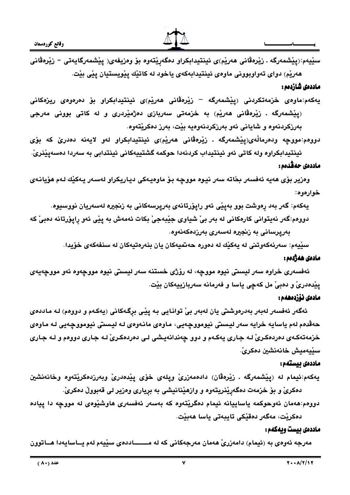

سێيەم:(يێشمەرگە . زێرەڤانى ھەرێم)ى ئينتيدابكراو دەگەرێتەوە بۆ وەزيفەى( يێشمەرگايەتى = زێرەڤانى هەريم) دواي تەواوبوونى ماوەي ئينتيدابەكەي ياخود لە كاتيك ييويستيان ييى بيت.

# ماددەى شازدەم :

- يەكەم:ماوەي خزمەتكرىنى (پيشمەرگە زيرەڤانى ھەريم)ى ئينتيدابكراو بۆ دەرەوەي ريزەكانى (پێشمەرگە . زێرەڤانى ھەرێم) بە خزمەتى سەربازى دەژمێردرى و لە كاتى بوونى مەرجى بەرزكردنەوە و شايانى ئەو بەرزكردنەوەيە بێت، بەرز دەكرێتەوە.
- دووم، مووجه ودمرمالُهي(پێشمەرگە . زێرەڤانى ھەرێم)ى ئينتيدابكراو لەو لايەنە دەدرێ كە بۆي ئينتيدابكراوه وله كاتي ئەو ئينتيداب كردنەدا حوكمه گشتييەكانى ئينتدابى به سەردا دەسەيێنرىٚ.

# ماددەى حەڤدەم :

وەزير بۆي ھەيە ئەفسەر بخاتە سەر نيوه مووچە بۆ ماوەيەكى دياريكراو لەسەر يەكێك لەم ھۆيانەي خوارهوه:

- يەكەم: گەر بەد رەوشت بوو بەيێى ئەو رايۆرتانەي بەريرسەكانى بە زىجيرە لەسەريان نووسيوە.
- دووهم:گەر نەيتوانى كارەكانى لە بەر بىّ شياوى جێبەجىّ بكات ئەمەش بە يێى ئەو رايۆرتانە دەبىّ كە بەريرسانى بە زنجيرە لەسەرى بەرزدەكەنەوە.

سێيەم: سەرنەكەوتنى لە يەكێك لە دەورە حەتميەكان يان بنەرەتيەكان لە سنفەكەي خۆيدا.

### مادەى ھەژدەم :

ئەفسەرى خراوه سەر ليستى نيوه مووجه، له رۆژى خستنه سەر ليستى نيوه مووجەوه ئەو مووجەيەى يێدەدرێٚ و دەبیٚ مل کەچى ياسا و فەرمانە سەربازييەكان بێت.

#### مادەى نۆزدەھەم :

ئەگەر ئەفسەر لەبەر بەدرەوشتى يان لەبەر بىْ توانايى بـە پِيْـى بِرِگـەكانى (يەكـەم و دووەم) لـە مـاددەى حەقدەم لەم ياسايە خرايە سەر ليستى نيومووچەيى، ماوەى مانـەوەى لـە ليستى نيومووچەيى لـە مـاوەى خزمهتهکـهي دهردهکـريّ لـه جـاري پهکـهم و دوو چهندانهيـشي لـي دهردهکـريّ لـه جـاري دووهم و لـه جـاري سٽيەميش خانەنشين دەكرىٰ.

# ماددەى ئىستەم:

يەكەم:ئيمام لە (يێشمەرگە . زێرەڤان) دادەمەزرىٚ ويلەي خۆي يێدەدرىٚ وبەرزدەكرێتەوە وخانەنشين دهکری و بو خزمهت دهگەرینریتەوه و وازهیدانیشی به بریاری وهزیر لی قەبوولْ دەکریْ.

دووم،:هەمان ئەوحوكمە ياساييانە ئيمام دەگريتەوە كە بەسەر ئەفسەرى ھاوشيوەى لە مووجە دا ييادە دەكرێت، مەگەر دەقێكى تايبەتى ياسا ھەبێت.

# ماددهى بيست ويهكهم:

مەرجە ئەوەي بە (ئيمام) دامەزرىّ ھەمان مەرجەكانى كە لە مــــــاددەي سێيەم لەم يــاسايەدا ھــاتوون

Ÿ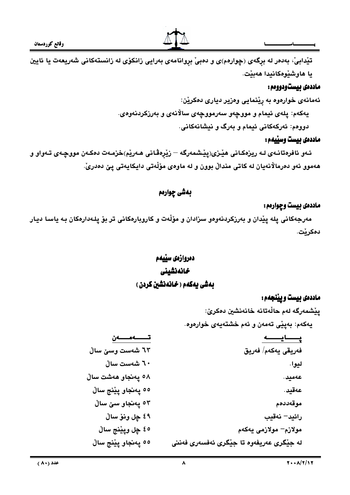

تيْدابيْ، بەدەر لە برگەي (چوارەم)ى و دەبيْ بروانامەي بەرايى زانكۆي لە زانستەكانى شەريعەت يا ئايين يا هاوشێوهكانيدا هەبێت.

# ماددهی بیستودووهم :

ئهمانهي خوارهوه به ريْنمايي وهزير دياري دهكريْن: يهکهم: پلهی ئيمام و مووچهو سهرمووچهی سالانهی و بهرزکردنهوهی. دووهم: ئەركەكانى ئيمام و بەرگ و نيشانەكانى.

# ماددهی بیست وسییمم :

ئـهو ئافرەتانـهى لـه ريزەكـانى هێـزى(پێـشمەرگه — زێرەڤانى هـەرێم)خزمـەت دەكـەن مووچـەى تـەواو و هەموو ئەو دەرمالانەيان لە كاتى مندالْ بوون و لە ماوەي مۆلّەتى دايكايەتى پێ دەدرێَ.

# بهشي چواردم

# ماددهی بیست وچوارهم:

مەرجەكانى يلە يێدان و بەرزكردنەوەو سزادان و مۆڵەت و كاروبارەكانى تر بۆ يلەدارەكان بە ياسا ديار دەكرێت.

# دمروازمي سييدم خانەنشينى بهش یهکهم ( خانهنشین کردن )

# ماددهي بيست ويينجهم:

يِيْشْمەرگە لەم حالّەتانە خانەنشين دەكرىٰ: يەكەم: بەپێى تەمەن و ئەم خشتەيەي خوارەوە.

| تــــــــەن         | پــــــايــــــــه                       |
|---------------------|------------------------------------------|
| ٦٣ شەست وسىٰ سالْ   | فەريقى يەكەم/ فەريق                      |
| ٦٠ شەست سالْ        | ليوا.                                    |
| 0۸ پەنجاو ھەشت سالْ | عەميد.                                   |
| ٥٥ پەنجاو پێنج ساڵ  | عەقيد.                                   |
| ٥٣ پەنجاو سێ ساڵ    | موقەددەم                                 |
| ٤٩ چل ونۆ سالْ      | رائيد– نەقيب                             |
| ٤٥ چل وپێنج ساڵ     | مولازم– مولازمی يەكەم                    |
| ٥٥ پەنجاو پێنج ساڵ  | له جێگری عەریفەوە تا جێگری ئەفسەری فەننی |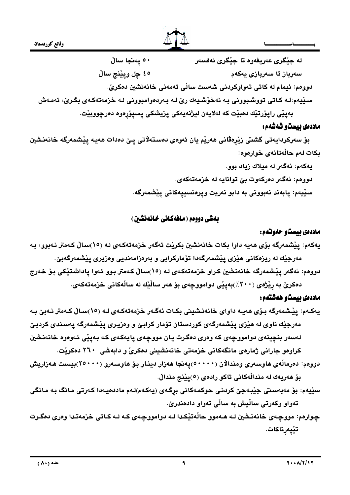



۰۰ يەنجا سالْ له جێگري عەريفەوە تا جێگري ئەفسەر ٤٥ ڃل ويٽِنج سالُ سەرباز تا سەربازى يەكەم دووهم: ئيمام له كاتي تەواوكردني شەست سالّي تەمەنى خانەنشين دەكرىّ. سيْيهم:لـه کـاتى تووشـبوونى بـه نهخۆشـيهك رێ لـه بـهردەوامبوونى لـه خزمهتهکـهى بگـرێ، ئهمـهش بەپێى راپۆرتێك دەبێت كە لەلايەن ليژنەيەكى پزيشكى پسپۆرەوە دەرچووبێت. ماددەي بيستو شەشەم:

بِوْ سەركردايەتى گشتى زِيْرەڤانى ھەريە يان ئەوەي دەستەلاتى يىِّ دەدات ھەيە ييشمەرگە خانەنشين بكات لهم حالّهتانهي خوارهوه:

> يەكەم: ئەگەر لە ميلاك زياد بوو. دووهم: ئەگەر دەركەوت بىّ توانايە لە خزمەتەكەي. سێيەم: يابەند نەبوونى بە دابو نەريت ويرەنسىييەكانى يێشمەرگە.

# بهش دووهم ( ماهُهکانی خانهنشین )

# ماددهي بيستو حهوتهم:

يەكەم: پێشمەرگە بۆي ھەيە داوا بكات خانەنشين بكريْت ئەگەر خزمەتەكەي لـه (١٥)سـالْ كـەمتر نـەبوو، بـه مەرجێك لە ريزەكانى ھێزى پێشمەرگەدا تۆماركرابى و بەرەزامەنديى وەزيرى پێشمەرگەبێ. دووهم: ئەگەر يێشمەرگە خانەنشين كراو خزمەتەكەي لـه (١٥)سـالْ كـەمتر بـوو ئـەوا ياداشتێكى بـۆ خـەرج

دهکری به ریزهی (۲۰۰٪)بهییی دوامووچهی بو ههر سالیّك له سالْهكانی خزمهتهكهی.

# ماددهى بيستو ههشتهم:

- يەكـەم: يێشمەرگە بىۆى ھەيـە داواي خانەنىشينى بكـات ئەگـەر خزمەتەكـەي لـە (١٥)سـالْ كـەمتر نـەبىْ بـە مەرجێك ناوى لە ھێزى يێشمەرگەى كوردستان تۆمار كرابێ و وەزيـرى يێشمەرگە يەسـندى كردبـێ لەسەر بنچينەي دوامووچەي كە وەرى دەگرت يان مووچەي يايەكەي كە بەييى ئەوەوە خانەنشين کراوهو جارانی ژمارهی مانگهکانی خزمهتی خانهنشینی دهکریْ و دابهشی ۲٦۰ دهکریت.
- دوومم: دەرماڵەي ھاوسەرى ومندالاْن (° • • )يەنجا ھەزار دينـار بـۆ ھاوسـەرو (° • 7)بيـست ھـەزاريش بۆ ھەريەك لە منداڵەكانى تاكو راد*ەى* (٥)پێنج منداڵ.
- سێيەم: بۆ مەبەسىتى جێبەجێ كردنى حوكمەكانى برگەي (يەكەم)لەم ماددەيەدا كەرتى مانگ بە مانگى تەواو وكەرتى ساڵيش بە ساڵى تەواو دادەندرێ.
- چوارهم: مووچهى خانەنىشين لـه هـهموو حاڵەتێكـدا لـه دوامووچـهى كـه لـه كـاتى خزمەتـدا وەرى دەگـرت تێۑۣەڕ**نا**كات.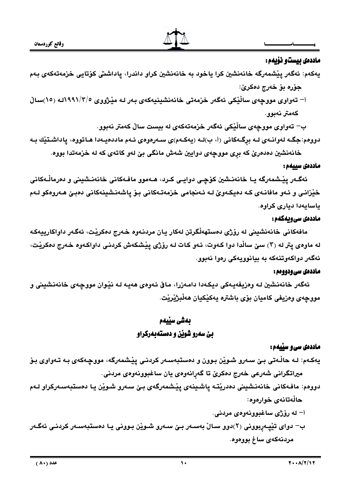

### ماددهی بیستو نویهم:

- يەكەم: ئەگەر يێشمەرگە خانەنشين كرا ياخود بە خانەنشين كراو داندرا، ياداشتى كۆتايى خزمەتەكەي بەم جۆرە بۆ خەرج دەكرێ:
- أ– تەواوى مووجەي ساڵێكى ئەگەر خزمەتى خانەنشىنيەكەي بەر لـە مێژووي ٥/٣/١٩٩١لـه (١٥)سـالْ كەمتر نەبوو.
- ب– تەواوى مووچەي ساڵێكى ئەگەر خزمەتەكەي لە بيست سالْ كەمتر نەبوو. دووهم:جگـه لهوانـهي لـه برگـهكاني (أ، ب)لـه (يهكـهم)ي سـهرهوهي ئـهم ماددهيـهدا هـاتووه، ياداشـتێك بـه

خانهنشين دهدهريّ که بري مووجهي دوايين شهش مانگي بيّ لهو کاتهي که له خزمهتدا بووه.

#### ماددەى سىيەم :

ئەگـەر يێشمەرگە يـا خانەنـشين كۆچـى دوايـى كـرد، ھـەموو مافـەكانى خانەنـشينى و دەرماڵـﻪكانى خێزانـی و ئـهو مافانـهی کـه دهیکـهویٌ لـه ئـهنجامی خزمهتـهکانی بـوْ یاشهنـشینهکانی دهبـیؒ هـهروهکو لـهم ياسايەدا ديارى كراوە.

# ماددهی سی ویهکهم :

مافەكانى خانەنشينى لە رۆژى دەستھەڵگرتن لەكار يان مردنـەوە خـەرج دەكرێت، ئەگـەر داواكارييەكـە له ماوهي پتر له (۲) سێ ساڵدا دوا کـهوت، ئـهو کـات لـه روّژي پيْشکهش کردنـي داواکـهوه خـهرج دهکريْت، ئەگەر دواكەوتنەكە بە بيانوويەكى رەوا نەبوو.

#### ماددهی سی ودوودم :

ئەگەر خانەنشين لـه وەزيفەيـەكى ديكـەدا دامـەزرا، مـاڧ ئـەوەي ھەيـە لـه نێـوان مووڃـەي خانەنشينى و مووجهي وهزيفي كاميان بۆي باشتره يهكێكيان هەڵبژێرێت.

# بەشى سێيەم بێ سهرو شوێن و دهستهبهرکراو

# ماددهی سی و سپیمم :

يەكـەم: لـه حاڵـەتى بـێ سـەرو شـوێن بـوون و دەستبەسـەر كردنـى يێشمەرگە، مووڃـەكەي بـه تـەواوي بـۆ ميراتگرانی شەرعی خەرج دەكرێ تا گەرانەوەی يان ساغبوونەوەی مردنی.

دووهم: مافـهکانی خانـهنـشينی دهدريتـه ياشـينـهي ييْـشمهرگـهي بـيّ سـهرو شـويْن يـا دهستبـهسـهرکراو لـهم حالّەتانەي خوارەوە:

- أ– له رۆژى ساغبوونەوەي مردنى.
- ب– دوای تێپەربوونی (٢)دوو ســالْ بەســەر بـێ ســەرو شـوێن بـوونی یـا دەستبەســەر کردنـی ئەگــەر مردنەكەي ساغ بووەوە.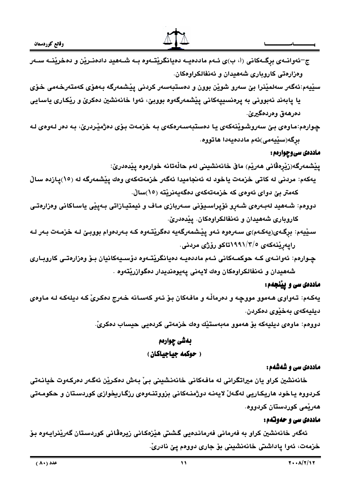

ج–ئەوانــەى بړگــەكانى (أ، ب)ى ئــەم ماددەيــە دەيانگرێتــەوە بــە شــەھيد دادەنـرێن و دەخرێنــە ســەر وهزارهتی کاروباری شههیدان و ئهنفالکراوهکان.

- سێيەم:ئەگەر سەلمێنرا بێ سەرو شوێن بوون و دەستبەسەر كردنى يێشمەرگە بەھۆي كەمتەرخەمى خۆي يا پابەند نەبوونى بە پرەنسىييەكانى پێشمەرگەوە بووبێ، ئەوا خانەنشين دەكرێ و رێكارى ياسايى دەرھەق وەردەگيرىٰ.
- چواردم:ماودی بیّ سەروشوێنەکەی يا دەستبەسەرەکەی بە خزمەت بۆی دەژمێردرێ، بە دەر لەودی لە برگە(سێيەمى)ئەم ماددەيەدا ھاتووە.

#### ماددهۍ سي وچوارهم :

يِيْشْمەرگە(زِيْرەڤانى ھەرپْم) ماڧ خانەنشينى لەم حالّەتانە خوارەوە يِيْدەدرىٚ:

- يەكەم: مردنى لە كاتى خزمەت ياخود لە ئەنجاميدا ئەگەر خزمەتەكەي وەك پێشمەرگە لە (١٥)يازدە سالْ كەمتر بىّ دواي ئەوەي كە خزمەتەكەي دەگەيەنريّتە (١٥)سالّ.
- دوومم: شـههيد لهبـهرمى شـهڕو ئۆپراسـيۆنى سـهربازى مـاف و ئيمتيـازاتى بـهپێى ياسـاكانى وەزارەتـى كاروبارى شەھيدان و ئەنفالكراوەكان. يێدەدرێ.
- سـێيهم: برگـهى(يهكـهم)ى سـهرهوه ئـهو يێشمهرگهيه دهگرێتـهوه كـه بـهردهوام بووبـێ لـه خزمـهت بـهر لـه رايەرينەكەي ١٩٩١/٣/٥تاكو رۆژى مردنى.
- چـوارەم: ئەوانــەي كــە حوكمــەكانى ئــەم ماددەيــە دەيانگريتــەوە دۆســيەكانيان بــۆ وەزارەتــى كاروبــارى شەھيدان و ئەنفالكراوەكان وەك لايەنى يەيوەنديدار دەگوازريتەوە .

# ماددهی سی و پینجهم:

يهکـهم: تـهواوي هـهموو مووجـه و دهرماڵـه و مافـهکان بـوّ ئـهو کهسـانه خـهرج دهکـریّ کـه ديلهکـه لـه مـاوهي ديليەكەي بەخێوي دەكردن.

دوومم: ماوەي ديليەكە بۆ ھەموو مەبەستێك وەك خزمەتى كردەيى حيساب دەكرىّ.

#### بهشي چواردم

# ( حوكمه جياجياكان)

# ماددهی سی و شهشهم:

خانەنشين كراو يان ميراتگرانى لە مافەكانى خانەنشينى بىّ بەش دەكريْن ئەگەر دەركەوت خيانەتى کردووه ياخود هاريکاريی لهگەلْ لايەنـه دوژمنـهکانی بزووتنـهوهى رزگـاريخوازى کوردسـتان و حکومـهتی هەرێمى كوردستان كردووە.

#### ماددهی سی و حموتهم:

ئەگەر خانەنشين كراو بە فەرمانى فەرماندەيى گشتى ھێزەكانى زيرەڤانى كوردستان گەرێنرايـەوە بىۆ خزمەت، ئەوا ياداشتى خانەنشينى بۆ جارى دووەم يى نادرى ْ.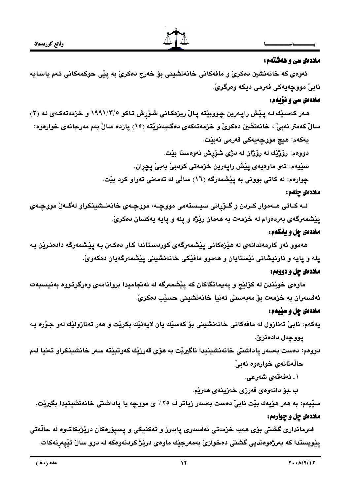

#### ماددهی سی و ههشتهم:

ئەوەي كە خانەنشين دەكرىٰ و مافەكانى خانەنشينى بۆ خەرج دەكرىٰ بە يێى حوكمەكانى ئەم ياسايە نابيٰ مووجهيهکي فهرمي ديکه وهرگريٰ.

#### ماددەی سى و نۆىمم:

هـهر کهسـێك لـه پـێش راپـهرين چـووبێته پـالْ ريزهكـانى شـۆرش تـاكو ١٩٩١/٣/٥ و خزمهتهكـهى لـه (٣) سالٌ كەمتر نەبىْ ، خانەنشين دەكرىْ و خزمەتەكەى دەگەيەنريْتە (١٥) يازدە سالْ بەم مەرجانەى خوارەوە: يەكەم: ھيچ مووجەيەكى فەرمى نەبيْت.

دوومم: رۆژێك له رۆژان له دژى شۆرش نەوەستا بێت. سێيەم: ئەو ماوەيەي پێش راپەرين خزمەتى كردبىّ بەبىّ پچران. چوارهم: له کاتی بوونی به پِیْشمەرگه (١٦) سالّی له تەمەنی تەواو کرد بیّت.

### ماددەى چلەم :

لــه کــاتی هــهموار کــردن و گــۆرانی سیــستهمی مووچــه، مووچــهی خانهنــشینکراو لهگــهلٌ مووچــهی يێشمەرگەی بەردەوام لە خزمەت بە ھەمان رێژە و يلە و يايە يەكسان دەكرىّ.

# ماددهي چل و پهکهم:

هەموو ئەو كارمەندانەي لە ھێزەكانى يێشمەرگەي كوردستاندا كار دەكەن بە يێشمەرگە دادەنرێن بە پله و پايه و ناونيشانی ئێستايان و ههموو مافێکی خانهنشينی پێشمهرگهيان دهکهویٚ.

# ماددهۍ چل و دووهم :

ماوەي خويندن له كۆليج و يەيمانگاكان كە ييشمەرگە لە ئەنجاميدا بروانامەي وەرگرتـووە بەنيسبەت ئەفسەران بە خزمەت بۆ مەبەستى تەنيا خانەنشينى حسێب دەكرىّ.

### ماددهي چل و سپيهم:

يەكەم: نابىؒ تەنازول لە مافەكانى خانەنشينى بۆ كەسێك يان لايەنێك بكرێت و ھەر تەنازولێك لەو جۆرە بـە يووچەل دادەنرێ.

دوومم: دەست بەسەر ياداشتى خانەنشينيدا ناگيريْت بە ھۆي قەرزيْك كەوتبيّتە سەر خانشينكراو تەنيا لەم حالْهتانهي خوارەوه نەبىّ.

أ . نەفەقەي شەرعى .

ب ـبوّ دانـهوهي قـهرزي خـهزينـهي هـهريم.

سێيەم: بە ھەر ھۆيەك بێت نابيْ دەست بەسەر زياتر لە ٢٥٪ ي مووجە يا ياداشتى خانەنشينيدا بگيرێت. ماددهي چل و چوارهم:

.<br>فەرماندارى گشتى بۆي ھەيە خزمەتى ئەفسەرى يابەرز و تەكنيكى و يسيۆرەكان دريزبكاتەوە لە حالّەتى يێويستدا که بەرژەوەندیی گشتی دەخوازیٰ بەمەرجێك ماوەی درێژ کردنەوەکە لە دوو سالْ تێيەرنەکات.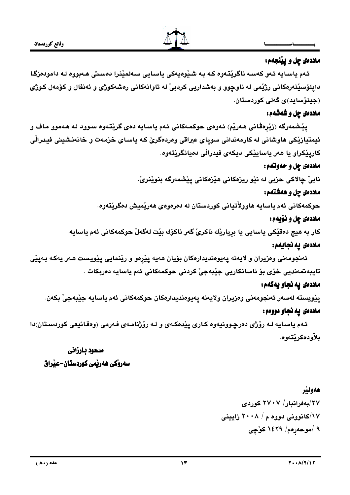

# ماددهي چل و يينجهم:

ئهم ياسايه ئەو كەسە ناگريقەوە كە بە شيوەيەكى ياسايى سەلمينرا دەستى ھەبووە لە دامودەزگا دايلۆسێنەرەكانى رژێمى لە ناوچوو و بەشداريى كردېيْ لە تاوانەكانى رەشەكوژى و ئەنفال و كۆمەل كوژى (جينۆسايد)ى گەلى كوردستان.

# ماددهي چل و شهشهم:

يێشمەرگە (زێرەڤانى ھەرێم) ئەوەي حوكمەكانى ئەم ياسايە دەي گرێتەوە سىوود لـه ھـەموو مـاف و ئیمتیازیْکی هاوشانی له کارمەندانی سویای عیراقی وەردەگریّ کـه یاسـای خزمـهت و خانـهنشینی فیـدرالّی کاريٽِکراو يا هەر ياسايٽِکي ديکەي فيدرالّي دەيانگرێتەوە.

# ماددهي چل و حهوتهم:

نابيٰ چالاکي حزبي له نێو ريزهکاني هێزهکاني يێشمهرگه بنوێنريٰ.

# ماددهی چل و ههشتهم:

حوكمەكانى ئەم ياسايە ھاوولأتيانى كوردستان لە دەرەوەي ھەرێميش دەگرێتەوە.

# ماددهی چل و نۆیەم:

كار به هيچ دەقێكى ياسايى يا بريارێك ناكرىٚ گەر ناكۆك بێت لەگەلْ حوكمەكانى ئەم ياسايە.

# ماددەى يە نجايەم:

ئەنجومەنى وەزيران و لايەنە يەيوەنديدارەكان بۆيان ھەيە يێرەو و رێنمايى يێويست ھەر يەكە بەيێى تايبەتمەنديى خۆي بۆ ئاسانكاريى جێبەجىٚ كردنى حوكمەكانى ئەم ياسايە دەربكات .

# ماددەى يە نجاو يەكەم:

يێويسته لەسەر ئەنجومەنى وەزيران ولايەنە يەيوەنديدارەكان حوكمەكانى ئەم ياسايە جێبەجىٚ بكەن.

# ماددهی يه نجاو دووهم:

ئـهم ياسـايه لـه رۆژى دەرچـوونيەوه كـارى پێدەكـەى و لـه رۆژنامـەى فـەرمى (وەقـائيعى كوردسـتان)دا بلأو دەكرنتەوھ.

# مسعود يارزاني سەروكى ھەرتمى كوردستان-عنراق

هەولىر ۲۷/بەفراندار/ ۲۷۰۷ كوردى ١٧/کانوونی دووه م / ٢٠٠٨ زابينی ۹ /موحەرەم/ ۱٤۲۹ كۈچى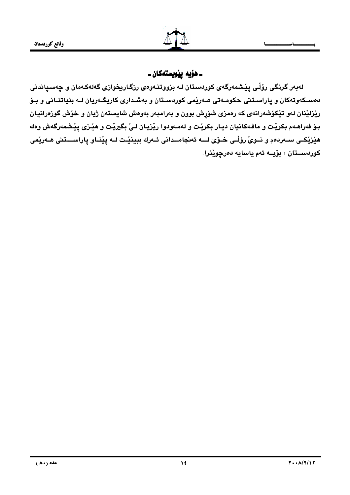ـ هۆيە يێويستەكان ـ

لەبەر گرنگى رۆڵى يێشمەرگەي كوردستان لـه بزووتنـەوەي رزگـارىخوازى گەلەكـەمان و چەسىياندنى دهسـکهوتهکان و پاراسـتنی حکومـهتی هـهریمی کوردسـتان و بهشـداری کاریگـهریان لـه بنیاتنـانی و بـوّ رێزلێنان لەو تێکۆشەرانەي کە رەمزى شۆپش بوون و بەرامبەر بەوەش شايستەن ژيان و خۆش گوزەرانيان بـوّ فهراهـهم بكريّـت و مافـهكانيان ديـار بكريّـت و لـهمـهودوا ريّزيـان لـيّ بگيريّـت و هيّـزي پِيّـشمهرگهش وهك هێزێڪي سـهردمم و نــويُ روّڵـي خـوّي لـــه ئهنجامــداني ئــهرك ببينێت لــه پێنــاو پاراســـتني هــهرێمي کوردســتان ، بۆيــه ئەم ياسايە دەر<u>جو</u>ێِنرا.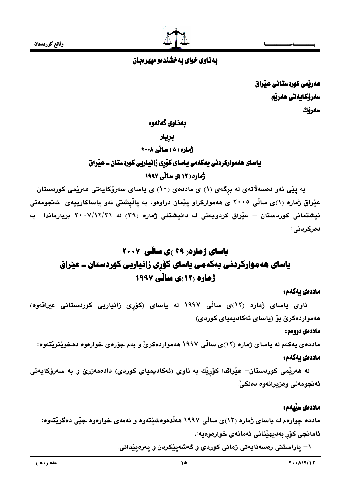

# بهناوی خوای به خشندهو میهرهبان

ھەربّمى كوردستانى عيّراق سەرۆكايەتى ھەرپە سەرۆك

# بەناوى گەنەوە

### بريار

# ژماره ( ٥ ) ساٽي ٢٠٠٨

# یاسای ههموارکردنی یهکهمی یاسای کۆری زانیاریی کوردستان ــ عیراق ژماره ( ۱۲ )ی سانی ۱۹۹۷

به پێی ئەو دەسەلاتەی لە برگەی (١) ی ماددەی (١٠) ی ياسای سەرۆكايەتی ھەرپمی كوردستان – عیْراق ژماره (۱)ی ساڵی ۲۰۰۵ ی هەموارکراو پیْمان دراوەو، بە پاڵپشتی ئەو یاساکارییەی ئەنجومەنی نیشتمانی کوردستان – عیّراق کردویهتی له دانیشتنی ژماره (۳۹) له ۲۰۰۷/۱۲/۳۱ بریارماندا ِ به دەركردنى:

# یاسای ژماره ( ۳۹ )ی ساڵی ۲۰۰۷ یاسای هه موارکردنی یهکهمی یاسای کۆرِی زانیاریی کوردستان ــ عیّراق ژهاره (۱۲)ی سانّی ۱۹۹۷

#### ماددەى يەكەم :

.<br>ناوی یاسای ژماره (۱۲<sub>)</sub>ی سالّی ۱۹۹۷ له یاسای (کوّرِی زانیاریی کوردستانی عیراقهوه) هەمواردەكرى بۆ (باساي ئەكادېمياي كوردى)

#### ماددەى دوومم :

ماددهی یهکهم له یاسای ژماره (۱۲)ی سالّی ۱۹۹۷ ههمواردهکریّ و بهم جوّرهی خوارهوه دهخویّنریّتهوه: ماددەى ئەكەم :

له هەریْمی کوردستان<sup>\_</sup> عیٚراقدا کۆرِیْك به ناوی (ئەکادیمیای کوردی) دادەمەزریٚ و به سەرۆکایەتی ئەنجومەنى وەزىرانەوە دەلكى ؒ.

#### ماددەى سىيەم :

مادده چوارهم له پاساي ژماره (١٢)ي ساڵي ١٩٩٧ ههڵدهوهشێتهوه و ئهمهي خوارهوه جێي دهگرێتهوه: ئامانجي كۆر بەديھێناني ئەمانەي خوارەوەيە:.

\– ياراستني رەسەنايەتى زمانى كوردى و گەشەيپكردن و يەرەيپدانى.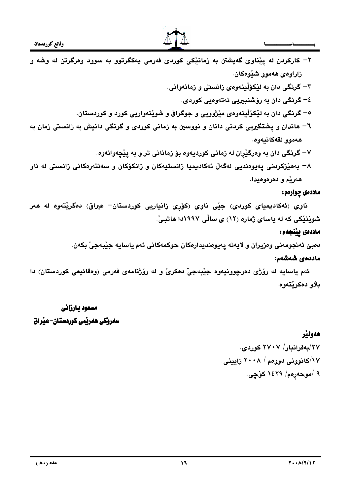

- ۲– کارکردن له پێناوي گهيشتن به زمانێکي کوردي فهرمي پهکگرتوو به سوود ومرگرتن له وشه و زاراومي هەموو شێوەكان.
	- ۳– گرنگی دان به لێکۆڵينەوەی زانستی و زمانەوانی. ٤– گرنگي دان به رۆشنيپريي نهتەوەيي كوردي.
	- ٥– گرنگي دان به لێکۆڵينەوەي مێژوويي و جوگراڧ و شوێنەواريي کورد و کوردستان.
- ٦– هاندان و پشتگیریی کردنی دانان و نووسین به زمانی کوردی و گرنگی دانیش به زانستی زمان به هەموو لقەكانىەوھ.
	- ٧– گرنگی دان به وهرگێران له زمانی کوردیهوه بۆ زمانانی تر و به پێچهوانهوه.
- ۸– بەھێزكردنى يەيوەنديى لەگەلْ ئەكاديميا زانستيەكان و زانكۆكان و سەنتەرەكانى زانستى لە ناو هەريم و دەرەوەيدا.

#### ماددهي چوارمم :

ناوی (ئەكاديميای كوردی) جێی ناوی (كۆری زانياريی كوردستان– عيراق) دەگرێتەوە لە ھەر شويْنيْكى كه له ياساي ژماره (١٢) ي سالْي ١٩٩٧دا هاتبيّ.

# ماددەى يينجەم:

دەبێ ئەنجومەنى وەزيران و لايەنە يەيوەنديدارەكان حوكمەكانى ئەم ياسايە جێبەجىٚ بكەن.

# ماددەى شەشەم:

ئهم ياسايه له رۆژى دەرچوونيەوە جێبەجىٚ دەكرىٰ و له رۆژنامەي فەرمى (وەقائيعى كوردستان) دا **ىلاو دەكرنتەوھ.** 

# مسعود بارزاني سەروكى ھەرپمى كوردستان-عبراق

# هەولپر

۲۷/بەفراندار/ ۲۷۰۷ كۈردى. ۱۷/کانوونی دووهم / ۲۰۰۸ زایبینی. ۹ /موحەړەم/ ۱٤۲۹ كۈچى.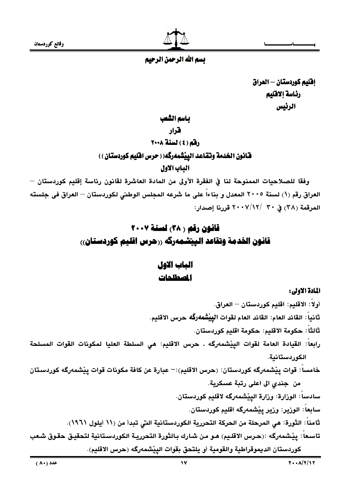وقائع كوردستان



# بسم الله الرحمن الرحيم

إفليم كوردستان — العراق رئاسة إلاقليم الرئيس

باسم الشعب

قرار

# رقم (٤) لسنة ٢٠٠٨

قانون الخدمة وتقاعد الييْشمەرگە( ( حرس اقليم كوردستان ) )

الهاب الاول

وفقًا للصلاحيات الممنوحة لنا في الفقرة الأولى من المادة العاشرة لقانون رئاسة إقليم كوردستان — العراق رقم (١) لسنة ٢٠٠٥ المعدل و بناءاً على ما شرعه المجلس الوطني لكوردستان – العراق في جلسته المرقمة (٣٨) في ٣٠ /١٢//١٢ قررنا إصدار:

# قانون رقم ( ٣٨) لسنة ٢٠٠٧ قانون الخدمة وتقاعد الييتشمەركە ررحرس اقليم كوردستان)،

# المات الاول الصطلحات

#### المادة الاولى:

أولاً: الاقليم: اقليم كوردستان — العراق. ثَانياً : القائد العام: القائد العام لقوات الييِّشْمەرگَه حرس الاقليم. ثالثاً: حكومة الاقليم: حكومة اقليم كوردستان. رابعاً: القيادة العامة لقوات الييْشمەرگە . حرس الاقليم: هى السلطة العليا لمكونات القوات المسلحة الكوردستانية. خامساً: قوات يِبْشمەرگە كوردستان: (حرس الاقليم):— عبارة عن كافة مكونات قوات يِبْشمەرگە كوردستان من جندي الى اعلى رتبة عسكرية. سادساً: الوزارة: وزارة البئشمەرگە لاقلیم کوردستان. سابعاً: الورير: ورير ييْشمەرگە اقليم كوردستان. ثامناً: الثورة: هي المرحلة من الحركة التحررية الكوردستانية التي تبدأ من (١١ أيلول ١٩٦١). تاسعاً: ييْشمەرگە :(حرس الاقليم) هـو مـن شـارك بـالثورة التحرريـة الكوردسـتانية لتحقيـق حقـوق شـعب كوردستان الديموقراطية والقومية أو يلتحق بقوات الييْشمەرگە (حرس الاقليم).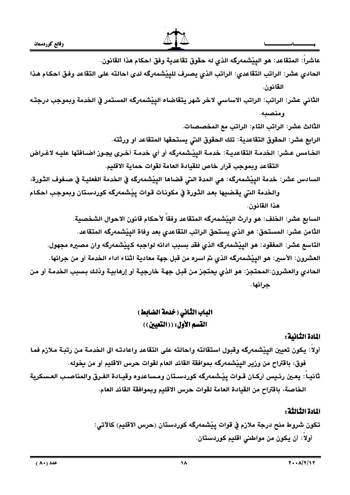

عاشراً: المتقاعد: هو الييْشمەرگە الذي له حقوق تقاعدية وفق احكام هذا القانون. الحادي عشر: الراتب التقاعدي: الراتب الذي يصرف للييْشمەرگه لدى احالته على التقاعد وفق احكام هذا القانون. الثاني عشر: الراتب: الراتب الاساسي لاخر شهر يتقاضاه الييْشمەرگە المستمر في الخدمة وبموجب درجتـه ومنصبه. الثَّالث عشر: الراتب التّام: الراتب مع المخصصات. الرابع عشر: الحقوق التقاعدية: تلك الحقوق التي يستحقها المتقاعد او ورثته. الخامس عشر: الخدمـة التقاعديـة: خدمـة الييْـشمهركَه أو أي خدمـة أخـري يجـوز اضـافتها عليـه لاغـراض التقاعد وبموجب قرار خاص للقيادة العامة لقوات حماية الاقليم. السادس عشر: خدمة الييْشمەرگە: هي المدة التي قضاها الييْشمەرگە في الخدمة الفعليـة في صـفوف الثـورة، والخدمة التى يقضيها بعد الثورة في مكونات قوات ييشمهرگه كوردستان وبموجب احكام هذا القانون. السابع عشر: الخلف: هو وارث الييْشمەرگە المتقاعد وفقاً لأحكام قانون الاحوال الشخصية.

الثامن عشر: المستحق: هو الذي يستحق الراتب التقاعدي بعد وفاة الييْشمەرگە المتقاعد. التاسع عشر: المفقود: هو الييْشمەرگه الذي فقد بسبب ادائه لواجبه كرييْشمەرگە وان مصيره مجهول. العشرون: الأسير: هو الييْشمەرگه الذي تم اسره من قبل جهة معادية اثناء اداء الخدمة أو من جرائها. الحادي والعشرون:المحتجز: هو الذي يحتجز من قبل جهة خارجية أو إرهابية وذلك بسبب الخدمة أو من جرائها .

# الباب الثاني ( خدمة الضابط ) القسم الأول: ( ( التعيين ) )

# المادة الثانية:

أولا: يكون تعيين الييْشمەرگە وقبول استقالته واحالته على التقاعد واعادتـه الى الـخدمـة مـن رتبـة مـلازم فمـا فوق، باقتراح من وزير الييْشمەرگە بموافقة القائد العام لقوات حرس الاقليم أو من يخوله.

ثانيـاً: يعـين رئـيس أركـان قـوات ييْـشمەرگه كوردسـتان ومـساعدوه وقيـادة الفـرق والمناصـب العـسكرية الخاصة، باقتراح من القيادة العامة لقوات حرس الاقليم وبموافقة القائد العام.

#### اللادة الثالثة :

تكون شروط منح درجة ملازم في قوات ييْشمەرگە كوردستان (حرس الاقليم) كالآتى: أولا: أن يكون من مواطني اقليم كوردستان.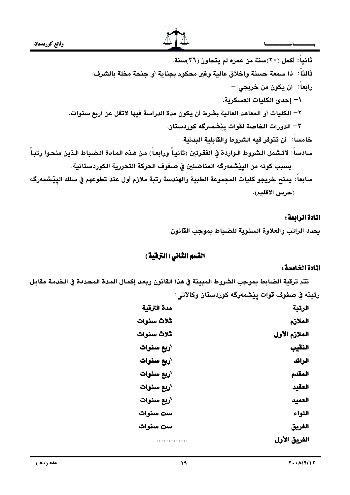



ثانياً: أكمل (٢٠)سنة من عمره لم يتجاوز (٢٦)سنة. ثالثاً: ذا سمعة حسنة واخلاق عالية وغير محكوم بجناية أو جنحة مخلة بالشرف. رابعاً: ان يكون من خريجي:--\– إحدى الكليات العسكرية. ٢– الكليات أو المعاهد العالية بشرط أن يكون مدة الدراسة فيها لاتقل عن أربع سنوات. ٣– الدورات الخاصة لقوات ييْشمەرگە كوردستان. خامساً : أن تتوفر فيه الشروط والقابلية البدنية. سادساً: لاتشمل الشروط الـواردة في الفقرتين (ثانياً ورابعاً) من هذه المادة الـضباط الـذين منحـوا رتبـاً بسبب كونه من الييْشمەرگه المناضلين في صفوف الحركة التحررية الكوردستانية. سابعاً: يمنح خريجو كليات المجموعة الطبية والهندسة رتبة ملازم أول عند تطوعهم في سلك الييْشمەرگە (حرس الاقليم).

# المادة الرابعة :

يحدد الراتب والعلاوة السنوية للضباط بموجب القانون.

# القسم الثاني (الترفية)

# المادة الخامسة :

تتم ترقية الضابط بموجب الشروط المبينة في هذا القانون وبعد إكمال المدة المحددة في الخدمة مقابل رتبته في صفوف قوات يِيْشمەرگە كوردستان وكالآتى:

| مدة الترقية | الرتبة        |
|-------------|---------------|
| ثلاث سنوات  | الملازم       |
| ثلاث سنوات  | الملازم الأول |
| أربع سنوات  | النقيب        |
| أربع سنوات  | الرائد        |
| أربع سنوات  | المقدم        |
| أريع سنوات  | العقيد        |
| أربع سنوات  | العميد        |
| ست سنوات    | اللواء        |
| ست سنوات    | الفريق        |
| .           | الفريق الأول  |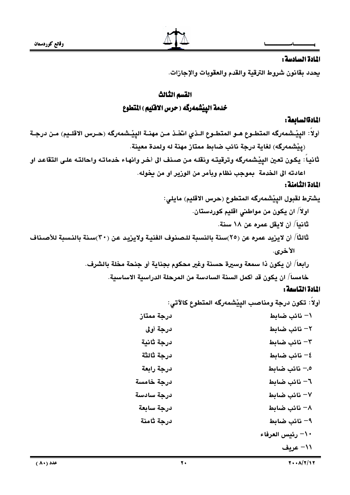

# المادة السادسة :

يحدد بقانون شروط الترقية والقدم والعقوبات والإجازات.

# القسم الثالث

خدمة الييْشْمەرگە ( حرس الاقليم ) المتطوع

### المادةالسائعة :

أولاً: الييْـشمەرگه المتطـوع هـو المتطـوع الـذي اتخـذ مـن مهنــة الييْـشمەرگه (حـرس الاقلــيم) مـن درجــة (پِيْشْمەرگە) لغاية درجة نائب ضابط ممتاز مهنة له ولمدة معينة.

ثانياً: يكون تعين الپيْشمەرگە وترقيتـه ونقلـه مـن صـنف الى أخـر وانهـاء خدماتـه واحالتـه علـى التقاعـد او اعادته الى الخدمة بموجب نظام وبأمر من الوزير او من يخوله.

### المادة الثامنة :

# المادة التاسمة :

أولاً: تكون درجة ومناصب اليِيْشمەرگە المتطوع كالآتى:

| درجة ممتاز | \– نائب ضابط     |
|------------|------------------|
| درجة أولى  | ٢– نائب ضابط     |
| درجة ثانية | ٣- نائب ضابط     |
| درجة ثالثة | ٤– نائب ضابط     |
| درجة رابعة | ٥.– نائب ضابط    |
| درجة خامسة | ٦- نائب ضابط     |
| درجة سادسة | ٧– نائب ضابط     |
| درجة سابعة | ٨– نائب ضابط     |
| درجة ثامنة | ۹– نائب ضابط     |
|            | ١٠– رئيس العرفاء |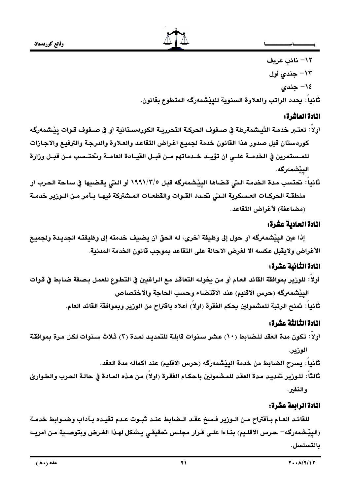

١٢– نائب عريف ۱۳– جندی اول ١٤– جندي ثانياً: يحدد الراتب والعلاوة السنوية للييْشمەرگە المتطوع بقانون.

# المادة العاشرة:

- أولاً: تعتـبر خدمـة الثيـشمةرطة في صـفوف الحركـة التحرريـة الكوردسـتانية أو في صـفوف قـوات ييْـشمەرگه كوردستان قبل صدور هذا القانون خدمة لجميع اغراض التقاعد والعلاوة والدرجة والترفيع والاجازات للمـستمرين في الخدمــة علــي ان تؤيــد خــدماتهم مــن قبــل القيــادة العامــة وـتحتــسب مــن قبــل وزارة اليێشمەرگە.
- ثانيا : تحتسب مدة الخدمة التي قضاها الييّشمەرگه قبل ١٩٩١/٣/٥ أو التي يقضيها في ساحة الحرب أو منطقة الحركـات العـسكرية الـتى نحـدد القـوات والقطعـات المـشتركة فيهـا بـأمر مـن الـوزير خدمـة (مضاعفة) لأغراض التقاعد.

# المادة الحادية عشرة:

إذا عين الييْشمەرگە أو حول إلى وظيفة أخرى، له الحق أن يضيف خدمته إلى وظيفتـه الجديـدة ولجميـع الأغراض ولايقبل عكسه الا لغرض الاحالة على التقاعد بموجب قانون الخدمة المدنية.

# المادة الثانبة عشرة:

أولا: للورير بموافقة القائد العـام أو مـن يخولـه التعاقد مـع الـراغبين في التطـوع للعمـل بـصـفة ضـابط في قـوات الييْشْمەرگە (حرس الاقليم) عند الاقتضاء وحسب الحاجة والاختصاص. ثانيا : تمنح الرتبة للمشمولين بحكم الفقرة (اولا) أعلاه باقتراح من الوزير وبموافقة القائد العام.

# المادة الثالثة عشرة:

- أولاً: تكون مدة العقد للضابط (١٠) عشر سنوات قابلة للتمديد لمدة (٣) ثلاث سنوات لكل مرة بموافقة الوزير.
	- ثانياً : يسرح الضابط من خدمة الييْشمەرگە (حرس الاقليم) عند اكماله مدة العقد.
- ثالثاً : للـوزير تمديد مدة العقد للمشمولين باحكـام الفقرة (اولاً) من هذه المـادة في حالـة الحـرب والطـوارئ و النفير.

# المادة الرابعة عشرة:

للقائد العـام بـأقتراح مـن الـوزير فـسخ عقـد الـضابط عنـد ثبـوت عـدم تقيـده بـآداب وضـوابط خدمـة (الييْشْمەرگە– حرس الاقلـيم) بنـاءا علـى قـرار مجلـس تحقيقـى يـشكل لهـذا الغـرض وبتوصـية مـن آمريـه بالتسلسل.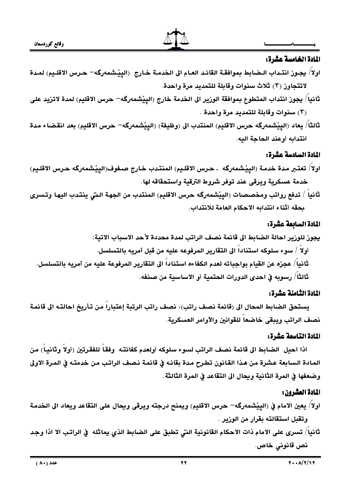

# المادة الخامسة عشرة:

- اولا/ يجـوز انتـداب الـضابط بموافقـة القائـد العـام الى الـخدمـة خـارج (الييْـشمەرگه– حـرس الاقلـيم) لمـدة لاتتجاوز (٣) ثلاث سنوات وقابلة للتمديد مرة واحدة.
- ثانياً/ يجوز انتداب المتطوع بموافقة الوزير الى الخدمة خارج (الييْشمەرگە– حرس الاقليم) لمدة لاتزيد على (٣) سنوات وقابلة للتمديد مرة واحدة .
- ثالثاً/ يعاد (الييْشمەرگە حرس الاقليم) المنتدب الى (وظيفة) (الپيْشمەرگە– حرس الاقليم) بعد انقضاء مدة انتدابه أوعند الحاجة البه.

# المادة السادسة عشرة:

- اولاً/ تعتبر مدة خدمة (الييْشمەرگە . حرس الاقليم) المنتدب خارج صـفوف(الييْشمەرگە حـرس الاقلـيم) خدمة عسكرية ويرقى عند توفر شروط الترقية واستحقاقه لها.
- ثانيا / تدفع رواتب ومخصصات (الييْشمەرگە حرس الاقليم) المنتدب من الجهة الـتى ينتـدب اليهـا وتـسرى بحقه أثناء انتدابه الاحكام العامة للانتداب.

# المادة السابعة عشرة:

يجوز للوزير احالة الضابط الى قائمة نصف الراتب لمدة محددة لأحد الاسباب الاتية: أولاً / سوء سلوكه استناداً الى التقارير المرفوعه عليه من قبل آمريه بالتسلسل. ثانياً/ عجزه عن القيام بواجباته لعدم الكفاءه استناداً الى التقارير المرفوعة عليه من آمريه بالتسلسل. ثَالثًا ً/ رسوبه في احدى الدورات الحتمية أو الاساسية من صنفه.

# المادة الثامنة عشرة:

يستحق الضابط المحال الى (قائمة نصف راتب)، نصف راتب الرتبة إعتباراً من تأريخ احالتـه الى قائمة نصف الراتب ويبقى خاضعا للقوانين والآوامر العسكرية.

#### المادة التاسعة عشرة:

اذا احيل الضابط الى قائمة نصف الراتب لسوء سلوكه أولعدم كفائتـه وفقاً للفقرتين (أولاً وثانياً) من المادة السابعة عشرة من هذا القانون تطرح مدة بقائه في قائمة نصف الراتب من خدمته في المرة الاولى وضعفها في المرة الثانية ويحال الى التقاعد في المرة الثالثة.

# المادة العشرون:

- اولاً/ يعين الامام في (الپيْشمەرگە– حرس الاقليم) ويمنح درجته ويرقى ويحال على التقاعد ويعاد الى الخدمة وتقبل استقالته بقرار من الوزير .
- ثانيا/ تسرى على الامام ذات الاحكام القانونية التي تطبق على الضابط الذي يماثله ۖ في الراتب الا اذا وجد نص قانوني خاص.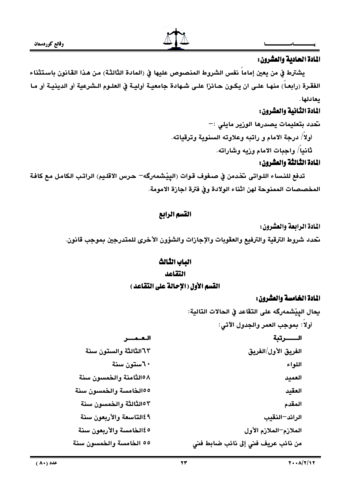

### المادة الحادية والعشرون:

يشترط في من يعين إماما نفس الشروط المنصوص عليها في (المادة الثالثـة) من هـذا القـانون باسـتثناء الفقرة (رابعـاً) منهـا علـى ان يكـون حـائزا علـى شـهادة جامعيـة أوليـة في العلـوم الـشرعية أو الدينيـة أو مـا يعادلها .

# المادة الثانية والعشرون:

تحدد بتعليمات يصدرها الوزير مايلي :– أولاً/ درجة الامام و راتبه وعلاوته السنوية وترقياته. ثانياً/ واجبات الامام وزيه وشاراته.

### المادة الثالثة والعشرون:

تدفع للنساء اللـواتي تخدمن في صـفوف قـوات (الييْشمهرگه= حـرس الاقلـيم) الراتـب الكامـل مـع كافـة المخصصات الممنوحة لهن اثناء الولادة وفي فترة اجازة الامومة.

# القسم الرابع

المادة الرابعة والعشرون:

نحدد شروط الترقية والترفيع والعقوبات والإجازات والشؤون الأخرى للمتدرجين بموجب قانون.

# الباب الثالث

#### التقاعد

# القسم الأول (الاحالة على التقاعد )

# المادة الخامسة والعشرون:

يحال الييْشْمەرگە على التقاعد في الحالات التالية: أولاً: بموجب العمر والجدول الآتي: العنفسن الفريق الأول/الفريق اللواء العميد العقيد المقدم الرائد–النقيب الملازم–الملازم الأول

من نائب عريف فني إلى نائب ضابط فني

٦٣الثالثة والستون سنة ٢٠ستون سنة ٥٨الثامنة والخمسون سنة ١٥٥لخامسة والخمسون سنة ١٥٢لثالثة والخمسون سنة ٤٩التاسعة والأربعون سنة 180كخامسة والأربعون سنة

٥٥ الخامسة والخمسون سنة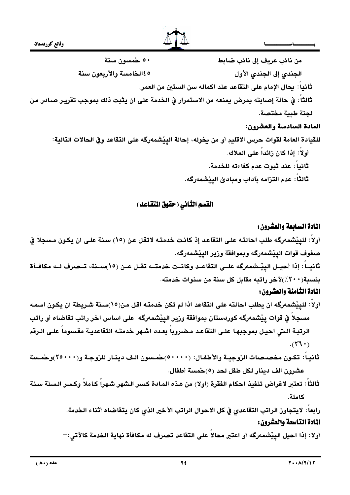٥٠ خمسون سنة من نائب عريف إلى نائب ضابط 180كخامسة والأربعون سنة الجندي إلى الجندي الأول ثَانياً: يحال الإمام على التقاعد عند اكماله سن الستين من العمر. ثالثاً: في حالة إصابته بمرض يمنعه من الاستمرار في الخدمة على ان يثبت ذلك بموجب تقرير صـادر من لجنة طبية مختصة. المادة السادسة والعشرون: للقيادة العامة لقوات حرس الاقليم أو من بخوله، إحالة الييْشمەرگە على التقاعد وفي الحالات التالية: أو لا : إذا كان زائداً على الملاك.

ثانياً: عند ثبوت عدم كفاءته للخدمة. ثالثاً : عدم التزامه بآداب ومبادئ الپِيْشْمەرگە.

# القسم الثاني ( حقوق المتقاعد )

# المادة السابعة والعشرون:

أولا: للييْشمەرگە طلب احالتـه علـى التقاعد إذ كانت خدمتـه لاتقل عن (١٥) سنة علـى ان يكـون مسجلاً في صفوف قوات الييشمەرگە وبموافقة ورير الييشمەرگە. ثانيــا: إذا أحيــل الييْــشمەرگە علــي التقاعــد وكانــت خدمتــه تقــل عــن (١٥)ســنة، تــصرف لــه مكافــأة

بنسبة(٢٠٠٪)لآخر راتبه مقابل كل سنة من سنوات خدمته.

# المادة الثّامنة والعشرون:

- أولاً: للييْشمەرگە ان يطلب احالته على التقاعد اذا لم تكن خدمتـه اقل من(١٥)سنة شـريطة ان يكـون اسمـه مسجلاً في قوات ييْشمەرگە كوردستان بموافقة ورير الييْشمەرگە على اساس اخر راتب تقاضاه أو راتب الرتبـة الـتي احيـل بموجبهـا علـي التقاعد مـضروبا بعـدد اشـهر خدمتـه التقاعديـة مقسوما علـي الـرقم  $(177)$ .
- ثانيـاً: تكـون مخصـصات الزوجيــة والأطفـال: (٥٠٠٠٠)حمـسون الـف دينـار للزوجـة و(٢٥٠٠٠)وحمـسة عشرون الف دينار لكل طفل لحد (٥)حمسة أطفال.
- ثالثاً : تعتبر لاغراض تنفيذ احكام الفقرة (اولا) من هذه المادة كسر الشهر شهراً كاملاً وكسر السنة سنة كاملة.

رابعاً: لايتجاوز الراتب التقاعدي في كل الاحوال الراتب الأخير الذي كان يتقاضاه أثناء الخدمة. المادة التاسعة والعشرون:

أولا: إذا احيل الييْشمەرگە أو اعتبر محالاً على التقاعد تصرف له مكافأة نهاية الخدمة كالآتى:—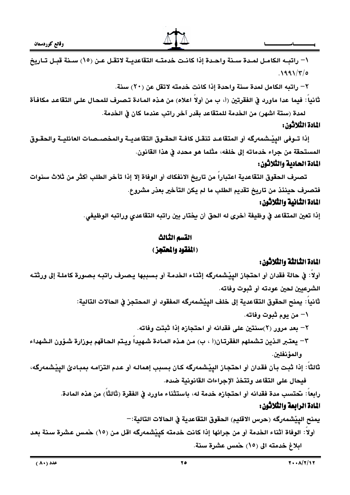

\– راتب الكامـل لمـدة سـنة واحـدة إذا كانـت خدمتـه التقاعديـة لاتقـل عـن (١٥) سـنة قبـل تـاريخ  $.1991/\tau$ /0

٢- راتبه الكامل لمدة سنة واحدة إذا كانت خدمته لاتقل عن (٢٠) سنة.

ثانيا : فيما عدا ماورد في الفقرتين (أ، ب من أولا اعلاه) من هذه المادة تصرف للمحال على التقاعد مكافأة لمدة (ستة اشهر) من الخدمة للمتقاعد بقدر آخر راتب عندما كان في الخدمة.

# المادة الثلاثون:

إذا تـوفي البِيْـشمەرگە أو المتقاعـد تنقـل كافـة الحقـوق التقاعدبـة والمخصـصات العائليــة والحقـوق المستحقة من جراء خدماته إلى خلفه، مثلما هو محدد في هذا القانون. المادة الحادية والثلاثون:

تصرف الحقوق التقاعدية اعتباراً من تاريخ الانفكاك أو الوفاة إلا إذا تأخر الطلب أكثر من ثلاث سنوات فتصرف حينئذ من تاريخ تقديم الطلب ما لم يكن التأخير بعذر مشروع. المادة الثانية والثلاثون:

إذا تعين المتقاعد في وظيفة أخرى له الحق أن يختار بين راتبه التقاعدى وراتبه الوظيفى.

# القسم الثالث (الفقود والمعتجز)

# المادة الثالثة والثلاثون:

أولاً: في حالة فقدان أو احتجاز اليِيْشمەرگە إثنـاء الخدمـة أو بـسببها يـصرف راتبـه بـصورة كاملـة إلى ورثتـه الشرعيين لحين عودته أو شوت وفاته. ثانياً : يمنح الحقوق التقاعدية إلى خلف الييْشمەرگە المفقود أو المحتجز في الحالات التالية: ١– من يوم ثبوت وفاته. ٢– بعد مرور (٢)سنتين على فقدانه أو احتجازه إذا ثبتت وفاته. ٣– يعتـبر الـذين تـشملهم الفقرتـان(أ ، ب) مـن هـذه المـادة شـهيدا ويـتم الحـاقهم بـوزارة شـؤون الـشهداء و المؤ نفلين. ثالثًا: إذا ثبت بأن فقدان أو احتجاز الييْشمەرگە كان بسبب إهمالـه أو عدم التزامـه بمبـادئ الييْشمەرگە، فيحال على التقاعد وتتخذ الإجراءات القانونية ضده. رابعا : تحتسب مدة فقدانه أو احتجازه خدمة له، باستثناء ماورد في الفقرة (ثالثًا) من هذه المادة. المادة الرابعة والثلاثون: يمنح الييْشْمەرگە (حرس الاقليم) الحقوق التقاعدية في الحالات التالية:— أولا: الوفاة أثناء الخدمة أو من جرائها إذا كانت خدمته كييْشمەرگه اقل من (١٥) حمس عشرة سنة بعد

ابلاغ خدمته الى (١٥) خمس عشرة سنة.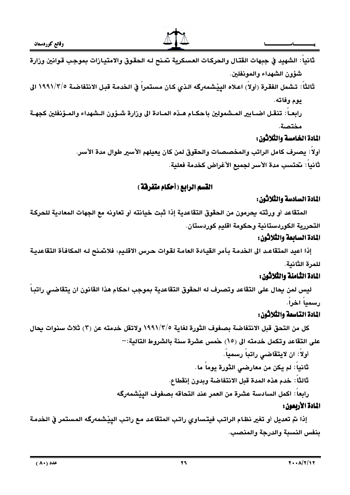

- ثانياً : الشهيد في جبهات القتال والحركات العسكرية تمنح لـه الحقوق والامتيازات بموجب قوانين وزارة شؤون الشهداء والمونغلين.
- ثالثاً: تشمل الفقرة (أولاً) اعلاه الينشمەرگە الذي كان مستمراً في الخدمة قبل الانتفاضية ١٩٩١/٢/٥ الى بوم وفاته.

رابعـاً: تنقـل اضـابير المـشمولين باحكـام هـذه المـادة الى وزارة شـؤون الـشهداء والمـؤنفلين كجهـة مختصة.

# المادة الخامسة والثلاثون:

أولا: يصرف كامل الراتب والمخصصات والحقوق لمن كان يعيلهم الأسير طوال مدة الأسر. ثانياً: تحتسب مدة الأسر لجميع الأغراض كخدمة فعلية.

# القسم الرابع (أحكام متفرقة )

# المادة السادسة والثلاثون:

المتقاعد أو ورثته بحرمون من الحقوق التقاعدية إذا ثبت خيانته أو تعاونه مع الجهات المعادية للحركة التحررية الكوردستانية وحكومة اقليم كوردستان.

# المادة السابعة والثلاثون:

إذا اعيد المتقاعـد الى الخدمـة بأمر القيادة العامـة لقـوات حرس الاقلـيم، فلانتمـنح لـه المكافـأة التقاعديـة للمرة الثانية.

# المادة الثامنة والثلاثون:

ليس لمن بحال على التقاعد وتصرف له الحقوق التقاعدية بموجب احكام هذا القانون ان يتقاضى راتبـا رسميا اخرا.

# المادة التاسعة والثلاثون:

كل من التحق قبل الانتفاضة بصفوف الثورة لغاية ١٩٩١/٣/٥ ولاتقل خدمته عن (٣) ثلاث سنوات يحال على التقاعد وتكمل خدمته الى (١٥) حمس عشرة سنة بالشروط التالية:—

- أولاً: ان لايتقاضى راتباً رسمياً.
- ثانياً: لم يكن من معارضي الثورة يوماً ما.
- ثالثاً: خدم هذه المدة قبل الانتفاضة وبدون إنقطاع.

رابعاً: اكمل السادسة عشرة من العمر عند التحاقه بصفوف الييْشمەرگە

# المادة الأربعون :

إذا نم تعديل أو تغير نظام الراتب فيتساوى راتب المتقاعد مع راتب الييْشمەرگە المستمر في الخدمة بنفس النسبة والدرجة والمنصب.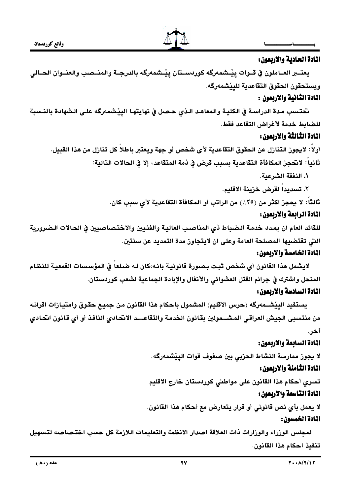

#### المادة الحادية والاربعون:

يعتـــبر العـــاملون في قـــوات ييْـــشمەرگه كوردســـتان ييْــشمەرگه بالدرجـــة والمنـــصب والعنـــوان الحـــالى ويستحقون الحقوق التقاعدية للييشمەرگە.

# المادة الثانية والاربعون :

تحتسب مدة الدراسـة في الكليـة والمعاهـد الـذي حـصل في نهايتهـا الييْـشمەرگه علـى الـشهادة بالنـسبة للضابط خدمة لأغراض التقاعد فقط.

# المادة الثالثة والاربعون:

أولاً: لايجوز التنازل عن الحقوق التقاعدية لأى شخص أو جهة ويعتبر باطلاً كل تنازل من هذا القبيل. ثانيا : لاتحجز المكافأة التقاعدية بسبب قرض في ذمة المتقاعد، إلا في الحالات التالية:

١. النفقة الشرعبة.

٢. تسديدا لقرض خزينة الاقليم.

ثالثًا: لا يحجز اكثر من (٢٥٪) من الراتب أو المكافأة التقاعدية لأي سبب كان.

#### المادة الرابعة والاربعون:

للقائد العام ان يمدد خدمة الـضباط ذي المناصب العاليـة والفنـيين والاختـصاصبين في الحـالات الـضرورية التي تقتضيها المصلحة العامة وعلى ان لايتجاوز مدة التمديد عن سنتين.

## المادة الخامسة والاربعون:

لايشمل هذا القانون أي شخص ثبت بصورة قانونية بانـه،كان لـه ضـلعا في المؤسسات القمعية للنظـام المنحل واشترك في جرائم القتل العشوائي والأنفال والإبادة الجماعية لشعب كوردستان. المادة السادسة والاربعون:

يستفيد الييْشــمەرگه (حرس الاقليم) المشمول باحكام هذا القانون من جميع حقوق وامتيازات اقرانـه من منتسبى الجيش العراقي المشــمولين بقانون الخدمة والتقاعـــد الانحادي النافذ أو أي قانون انحـادي آخر.

# المادة السابعة والاربعون:

لا يجوز ممارسة النشاط الحزبى بين صفوف قوات الييْشمەرگه. المادة الثامنة والاربعون:

تسرى أحكام هذا القانون على مواطني كوردستان خارج الاقليم

# المادة التاسعة والاربعون :

لا يعمل بأي نص قانوني أو قرار يتعارض مع أحكام هذا القانون. المادة الخمسون:

لمحلس الوزراء والوزارات ذات العلاقة اصدار الانظمة والتعليمات اللازمة كل حسب اختصاصه لتسهيل تنفيذ احكام هذا القانون.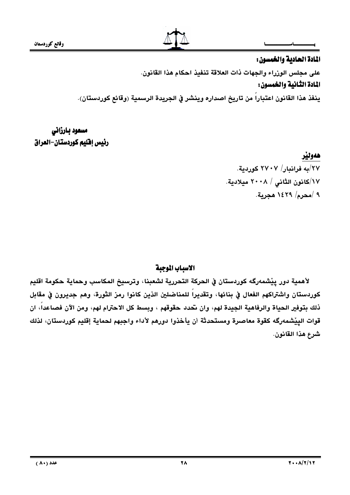

## المادة الحادية والخمسون:

على مجلس الوزراء والجهات ذات العلاقة تنفيذ احكام هذا القانون.

# المادة الثانية والخمسون:

ينفذ هذا القانون اعتباراً من تاريخ اصداره وينشر في الجريدة الرسمية (وقائع كوردستان).

مسعود بارزاني رئيس إفليم كوردستان-العراق

هەولىد

٢٧/به فراندار/ ٢٧٠٧ كوردية. ۱۷/کانون الثان*ي | ۲۰۰*۸ میلادیة. ۹ /محرم/ ۱٤۲۹ هجرية.

# الاسياب الموجية

لأهمية دور ييْشمەرگە كوردستان في الحركة التحررية لشعبنا، وترسيخ المكاسب وحماية حكومة اقليم كوردستان واشتراكهم الفعال في بنائها، وتقديراً للمناضلين الذين كانوا رمز الثورة، وهم جديرون في مقابل ذلك بتوفير الحياة والرفاهية الجيدة لهم، وان تحدد حقوقهم ، وبسط كل الاحترام لهم، ومن الآن فصاعداً، ان قوات الييْشمەرگە كقوة معاصرة ومستحدثة أن يأخذوا دورهم لأداء واجبهم لحماية إقليم كوردستان، لذلك شرع هذا القانون.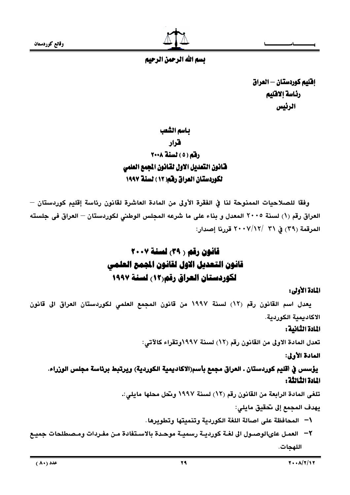وقائع كوردستان



بسم الله الرحمن الرحيم

إفليم كوردستان — العراق رئاسة إلاقليم الرئيس

باسم الشعب

قرار

# رفم (٥) نسنة ٢٠٠٨ فنافون التعديل الاول لقانون المجمع العلمي لكوردستان العراق رفقه( ١٢ ) لسنة ١٩٩٧

وفقًا للصلاحيات الممنوحة لنا في الفقرة الأولى من المادة العاشرة لقانون رئاسة إقليم كوردستان — العراق رقم (١) لسنة ٢٠٠٥ المعدل و بناء على ما شرعه المجلس الوطني لكوردستان – العراق فى جلسته المرقمة (٣٩) في ٣١ /٧/١٢/ ٢٠٠٧ قررنا إصدار:

# قانون رقم ( ٣٩) لسنة ٢٠٠٧ قانون التعديل الاول لقانون الجمع العلمى لكوردستان العراق رقم(١٢) لسنة ١٩٩٧

# المادة الأولى:

يعدل اسم القانون رقم (١٢) لسنة ١٩٩٧ من قانون المجمع العلمي لكوردستان العراق الى قانون الاكاديمية الكوردية.

# المادة الثانية :

تعدل المادة الاولى من القانون رقم (١٢) لسنة ١٩٩٧وتقراء كالآتي:

# المادة الأولى:

# يؤسس في أقليم كوردستان . العراق مجمع بأسم(الاكاديمية الكوردية) ويرتبط برئاسة مجلس الوزراء. المادة الثالثة :

تلغي المادة الرابعة من القانون رقم (١٢) لسنة ١٩٩٧ وتحل محلها مايلي:.

يهدف المجمع إلى تحقيق مايلي:

- ١− المحافظة على اصالة اللغة الكوردية وتنميتها وتطويرها.
- ٢ العمـل علىالوصـول الى لغـة كورديـة رسميـة موحـدة بالاسـتفادة مـن مفـردات ومـصطلحات جميـع اللهحات.